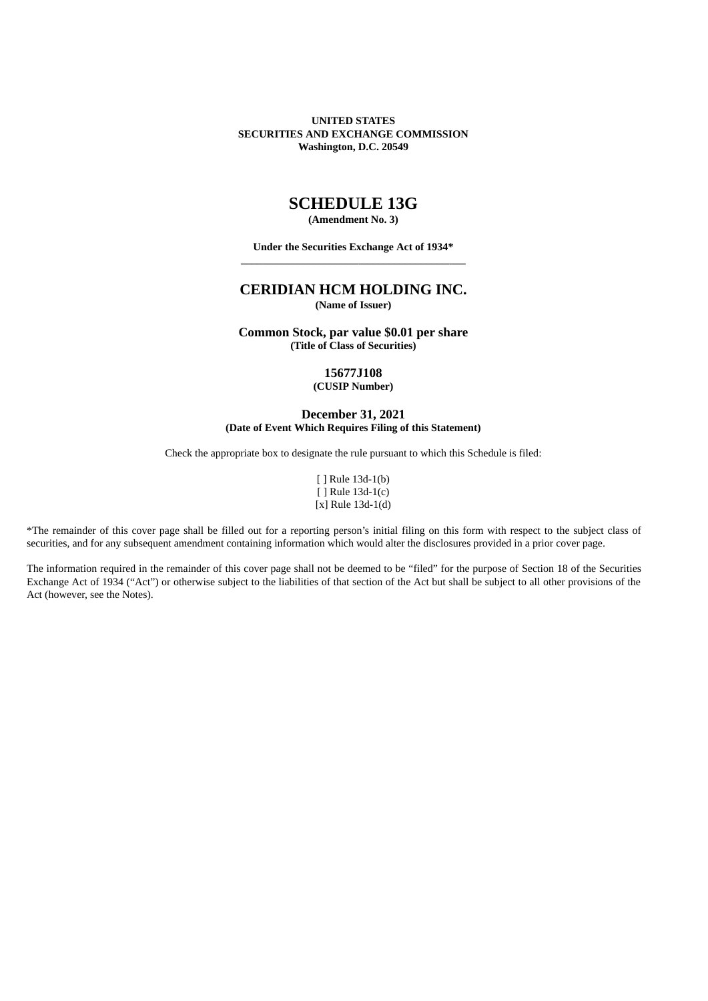**UNITED STATES SECURITIES AND EXCHANGE COMMISSION Washington, D.C. 20549**

# **SCHEDULE 13G**

**(Amendment No. 3)**

**Under the Securities Exchange Act of 1934\* \_\_\_\_\_\_\_\_\_\_\_\_\_\_\_\_\_\_\_\_\_\_\_\_\_\_\_\_\_\_\_\_\_\_\_\_\_\_\_\_\_\_**

## **CERIDIAN HCM HOLDING INC. (Name of Issuer)**

**Common Stock, par value \$0.01 per share (Title of Class of Securities)**

> **15677J108 (CUSIP Number)**

**December 31, 2021 (Date of Event Which Requires Filing of this Statement)**

Check the appropriate box to designate the rule pursuant to which this Schedule is filed:

[ ] Rule 13d-1(b) [ ] Rule 13d-1(c)  $[x]$  Rule 13d-1(d)

\*The remainder of this cover page shall be filled out for a reporting person's initial filing on this form with respect to the subject class of securities, and for any subsequent amendment containing information which would alter the disclosures provided in a prior cover page.

The information required in the remainder of this cover page shall not be deemed to be "filed" for the purpose of Section 18 of the Securities Exchange Act of 1934 ("Act") or otherwise subject to the liabilities of that section of the Act but shall be subject to all other provisions of the Act (however, see the Notes).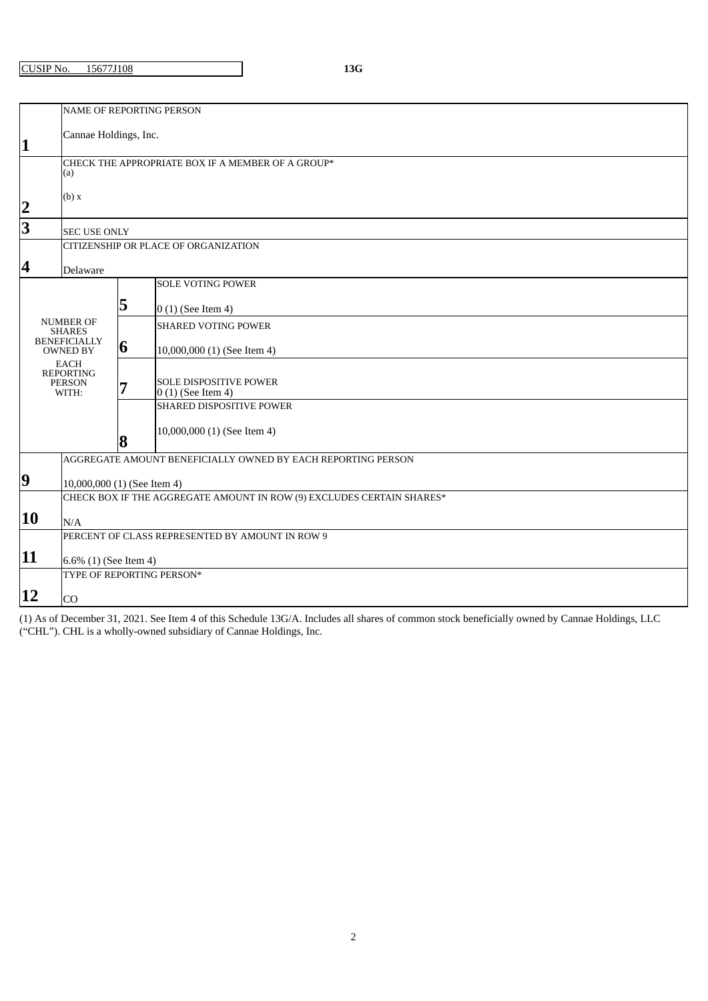CUSIP No. 15677J108 **13G**

|                                                          | <b>NAME OF REPORTING PERSON</b>                              |   |                                                                       |  |  |  |
|----------------------------------------------------------|--------------------------------------------------------------|---|-----------------------------------------------------------------------|--|--|--|
| $\mathbf{1}$                                             | Cannae Holdings, Inc.                                        |   |                                                                       |  |  |  |
|                                                          |                                                              |   |                                                                       |  |  |  |
| CHECK THE APPROPRIATE BOX IF A MEMBER OF A GROUP*<br>(a) |                                                              |   |                                                                       |  |  |  |
|                                                          | (b) x                                                        |   |                                                                       |  |  |  |
| $\overline{2}$                                           |                                                              |   |                                                                       |  |  |  |
| $\overline{3}$                                           | <b>SEC USE ONLY</b>                                          |   |                                                                       |  |  |  |
|                                                          | CITIZENSHIP OR PLACE OF ORGANIZATION                         |   |                                                                       |  |  |  |
| 4                                                        | Delaware                                                     |   |                                                                       |  |  |  |
|                                                          |                                                              |   | <b>SOLE VOTING POWER</b>                                              |  |  |  |
| <b>NUMBER OF</b>                                         |                                                              | 5 |                                                                       |  |  |  |
|                                                          |                                                              |   | $0(1)$ (See Item 4)                                                   |  |  |  |
|                                                          | <b>SHARES</b>                                                |   | <b>SHARED VOTING POWER</b>                                            |  |  |  |
| <b>BENEFICIALLY</b><br><b>OWNED BY</b>                   |                                                              | 6 | 10,000,000 (1) (See Item 4)                                           |  |  |  |
|                                                          | <b>EACH</b><br><b>REPORTING</b>                              |   |                                                                       |  |  |  |
| <b>PERSON</b><br>WITH:                                   |                                                              | 7 | SOLE DISPOSITIVE POWER<br>$0(1)$ (See Item 4)                         |  |  |  |
|                                                          |                                                              |   | <b>SHARED DISPOSITIVE POWER</b>                                       |  |  |  |
|                                                          |                                                              |   | 10,000,000 (1) (See Item 4)                                           |  |  |  |
|                                                          |                                                              | 8 |                                                                       |  |  |  |
|                                                          | AGGREGATE AMOUNT BENEFICIALLY OWNED BY EACH REPORTING PERSON |   |                                                                       |  |  |  |
| $\boldsymbol{9}$                                         | 10,000,000 (1) (See Item 4)                                  |   |                                                                       |  |  |  |
|                                                          |                                                              |   | CHECK BOX IF THE AGGREGATE AMOUNT IN ROW (9) EXCLUDES CERTAIN SHARES* |  |  |  |
| 10                                                       |                                                              |   |                                                                       |  |  |  |
|                                                          | N/A                                                          |   | PERCENT OF CLASS REPRESENTED BY AMOUNT IN ROW 9                       |  |  |  |
|                                                          |                                                              |   |                                                                       |  |  |  |
| 11                                                       | 6.6% (1) (See Item 4)                                        |   |                                                                       |  |  |  |
|                                                          | TYPE OF REPORTING PERSON*                                    |   |                                                                       |  |  |  |
| 12                                                       | CO                                                           |   |                                                                       |  |  |  |

(1) As of December 31, 2021. See Item 4 of this Schedule 13G/A. Includes all shares of common stock beneficially owned by Cannae Holdings, LLC ("CHL"). CHL is a wholly-owned subsidiary of Cannae Holdings, Inc.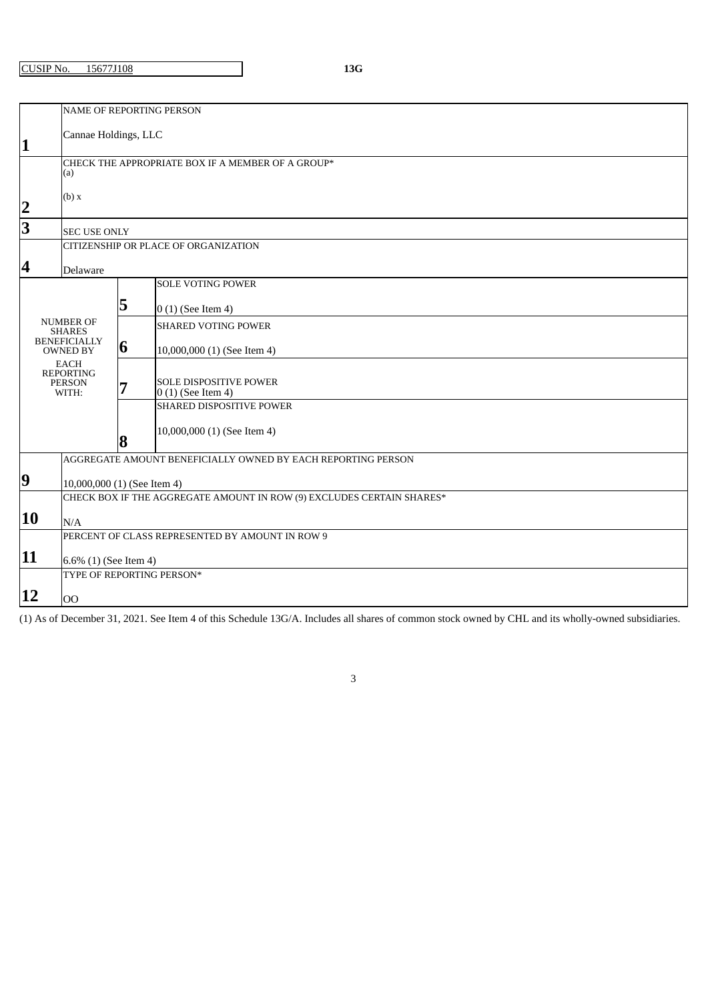CUSIP No. 15677J108 **13G**

|                                                                                                     | <b>NAME OF REPORTING PERSON</b>                                       |                                                              |                                                      |  |  |  |  |
|-----------------------------------------------------------------------------------------------------|-----------------------------------------------------------------------|--------------------------------------------------------------|------------------------------------------------------|--|--|--|--|
| $\mathbf{1}$                                                                                        | Cannae Holdings, LLC                                                  |                                                              |                                                      |  |  |  |  |
| CHECK THE APPROPRIATE BOX IF A MEMBER OF A GROUP*<br>(a)                                            |                                                                       |                                                              |                                                      |  |  |  |  |
| $\overline{\mathbf{2}}$                                                                             | (b) x                                                                 |                                                              |                                                      |  |  |  |  |
| 3                                                                                                   | <b>SEC USE ONLY</b>                                                   |                                                              |                                                      |  |  |  |  |
|                                                                                                     | CITIZENSHIP OR PLACE OF ORGANIZATION                                  |                                                              |                                                      |  |  |  |  |
| 4                                                                                                   | Delaware                                                              |                                                              |                                                      |  |  |  |  |
|                                                                                                     |                                                                       |                                                              | <b>SOLE VOTING POWER</b>                             |  |  |  |  |
|                                                                                                     |                                                                       | 5                                                            | $0(1)$ (See Item 4)                                  |  |  |  |  |
|                                                                                                     | <b>NUMBER OF</b><br><b>SHARES</b>                                     |                                                              | <b>SHARED VOTING POWER</b>                           |  |  |  |  |
| <b>BENEFICIALLY</b><br><b>OWNED BY</b><br><b>EACH</b><br><b>REPORTING</b><br><b>PERSON</b><br>WITH: |                                                                       | 6                                                            | 10,000,000 (1) (See Item 4)                          |  |  |  |  |
|                                                                                                     |                                                                       | 7                                                            | <b>SOLE DISPOSITIVE POWER</b><br>$0(1)$ (See Item 4) |  |  |  |  |
|                                                                                                     |                                                                       |                                                              | SHARED DISPOSITIVE POWER                             |  |  |  |  |
|                                                                                                     |                                                                       | 8                                                            | 10,000,000 (1) (See Item 4)                          |  |  |  |  |
|                                                                                                     |                                                                       | AGGREGATE AMOUNT BENEFICIALLY OWNED BY EACH REPORTING PERSON |                                                      |  |  |  |  |
| $\boldsymbol{9}$                                                                                    | 10,000,000 (1) (See Item 4)                                           |                                                              |                                                      |  |  |  |  |
|                                                                                                     | CHECK BOX IF THE AGGREGATE AMOUNT IN ROW (9) EXCLUDES CERTAIN SHARES* |                                                              |                                                      |  |  |  |  |
| 10                                                                                                  | N/A                                                                   |                                                              |                                                      |  |  |  |  |
|                                                                                                     |                                                                       |                                                              | PERCENT OF CLASS REPRESENTED BY AMOUNT IN ROW 9      |  |  |  |  |
| 11                                                                                                  | 6.6% (1) (See Item 4)                                                 |                                                              |                                                      |  |  |  |  |
|                                                                                                     | TYPE OF REPORTING PERSON*                                             |                                                              |                                                      |  |  |  |  |
| 12                                                                                                  | O <sub>O</sub>                                                        |                                                              |                                                      |  |  |  |  |

(1) As of December 31, 2021. See Item 4 of this Schedule 13G/A. Includes all shares of common stock owned by CHL and its wholly-owned subsidiaries.

3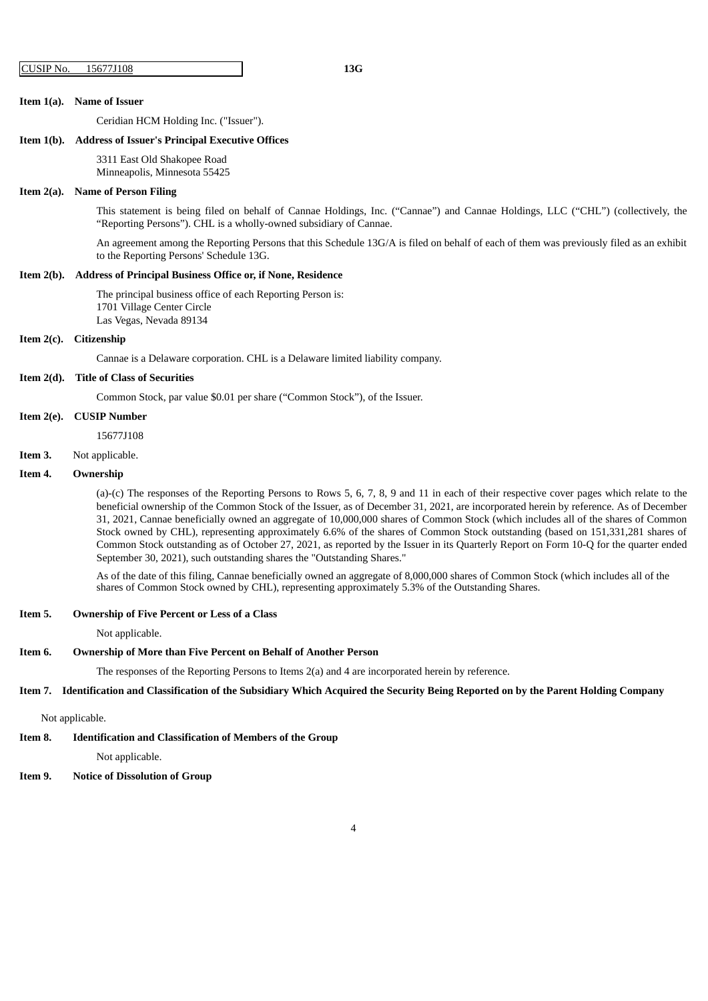#### **Item 1(a). Name of Issuer**

Ceridian HCM Holding Inc. ("Issuer").

#### **Item 1(b). Address of Issuer's Principal Executive Offices**

3311 East Old Shakopee Road

Minneapolis, Minnesota 55425

#### **Item 2(a). Name of Person Filing**

This statement is being filed on behalf of Cannae Holdings, Inc. ("Cannae") and Cannae Holdings, LLC ("CHL") (collectively, the "Reporting Persons"). CHL is a wholly-owned subsidiary of Cannae.

An agreement among the Reporting Persons that this Schedule 13G/A is filed on behalf of each of them was previously filed as an exhibit to the Reporting Persons' Schedule 13G.

#### **Item 2(b). Address of Principal Business Office or, if None, Residence**

The principal business office of each Reporting Person is: 1701 Village Center Circle Las Vegas, Nevada 89134

#### **Item 2(c). Citizenship**

Cannae is a Delaware corporation. CHL is a Delaware limited liability company.

#### **Item 2(d). Title of Class of Securities**

Common Stock, par value \$0.01 per share ("Common Stock"), of the Issuer.

### **Item 2(e). CUSIP Number**

15677J108

**Item 3.** Not applicable.

#### **Item 4. Ownership**

(a)-(c) The responses of the Reporting Persons to Rows 5, 6, 7, 8, 9 and 11 in each of their respective cover pages which relate to the beneficial ownership of the Common Stock of the Issuer, as of December 31, 2021, are incorporated herein by reference. As of December 31, 2021, Cannae beneficially owned an aggregate of 10,000,000 shares of Common Stock (which includes all of the shares of Common Stock owned by CHL), representing approximately 6.6% of the shares of Common Stock outstanding (based on 151,331,281 shares of Common Stock outstanding as of October 27, 2021, as reported by the Issuer in its Quarterly Report on Form 10-Q for the quarter ended September 30, 2021), such outstanding shares the "Outstanding Shares."

As of the date of this filing, Cannae beneficially owned an aggregate of 8,000,000 shares of Common Stock (which includes all of the shares of Common Stock owned by CHL), representing approximately 5.3% of the Outstanding Shares.

#### **Item 5. Ownership of Five Percent or Less of a Class**

Not applicable.

#### **Item 6. Ownership of More than Five Percent on Behalf of Another Person**

The responses of the Reporting Persons to Items 2(a) and 4 are incorporated herein by reference.

#### Item 7. Identification and Classification of the Subsidiary Which Acquired the Security Being Reported on by the Parent Holding Company

#### Not applicable.

**Item 8. Identification and Classification of Members of the Group**

Not applicable.

### **Item 9. Notice of Dissolution of Group**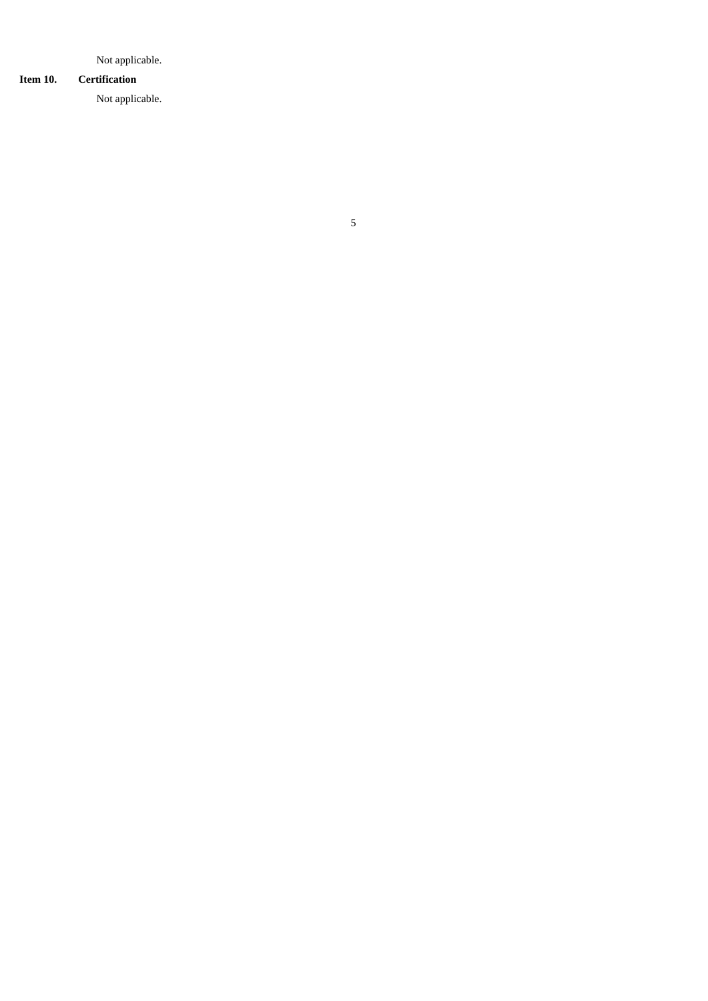Not applicable.

## **Item 10. Certification**

Not applicable.

# 5